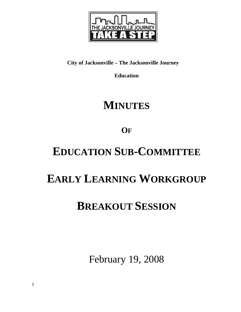

# **City of Jacksonville – The Jacksonville Journey**

**Education** 

# **MINUTES**

**OF**

# **EDUCATION SUB-COMMITTEE**

# **EARLY LEARNING WORKGROUP**

# **BREAKOUT SESSION**

February 19, 2008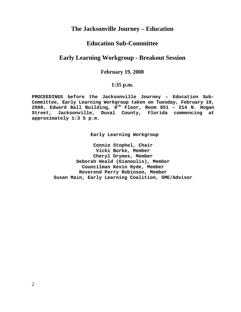# **The Jacksonville Journey – Education**

# **Education Sub-Committee**

# **Early Learning Workgroup - Breakout Session**

## **February 19, 2008**

## **1:35 p.m.**

**PROCEEDINGS before the Jacksonville Journey – Education Sub-Committee, Early Learning Workgroup taken on Tuesday, February 19, 2008, Edward Ball Building, 8th Floor, Room 851 – 214 N. Hogan Street, Jacksonville, Duval County, Florida commencing at approximately 1:3 5 p.m.** 

**Early Learning Workgroup** 

**Connie Stophel, Chair Vicki Burke, Member Cheryl Grymes, Member Deborah Heald (Gianoulis), Member Councilman Kevin Hyde, Member Reverend Perry Robinson, Member Susan Main, Early Learning Coalition, SME/Advisor**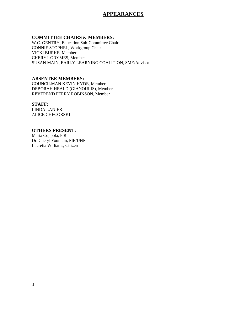## **APPEARANCES**

## **COMMITTEE CHAIRS & MEMBERS:**

W.C. GENTRY, Education Sub-Committee Chair CONNIE STOPHEL, Workgroup Chair VICKI BURKE, Member CHERYL GRYMES, Member SUSAN MAIN, EARLY LEARNING COALITION, SME/Advisor

### **ABSENTEE MEMBERS:**

COUNCILMAN KEVIN HYDE, Member DEBORAH HEALD (GIANOULIS), Member REVEREND PERRY ROBINSON, Member

### **STAFF:**

LINDA LANIER ALICE CHECORSKI

### **OTHERS PRESENT:**

Maria Coppola, P.R. Dr. Cheryl Fountain, FIE/UNF Lucretia Williams, Citizen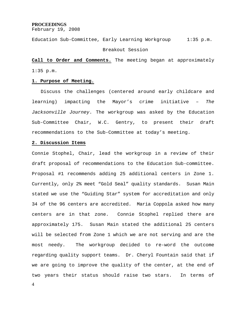#### **PROCEEDINGS**

February 19, 2008

Education Sub-Committee, Early Learning Workgroup 1:35 p.m.

#### Breakout Session

**Call to Order and Comments.** The meeting began at approximately 1:35 p.m.

#### **1. Purpose of Meeting.**

 Discuss the challenges (centered around early childcare and learning) impacting the Mayor's crime initiative – *The Jacksonville Journey*. The workgroup was asked by the Education Sub-Committee Chair, W.C. Gentry, to present their draft recommendations to the Sub-Committee at today's meeting.

#### **2. Discussion Items**

Connie Stophel, Chair, lead the workgroup in a review of their draft proposal of recommendations to the Education Sub-committee. Proposal #1 recommends adding 25 additional centers in Zone 1. Currently, only 2% meet "Gold Seal" quality standards. Susan Main stated we use the "Guiding Star" system for accreditation and only 34 of the 96 centers are accredited. Maria Coppola asked how many centers are in that zone. Connie Stophel replied there are approximately 175. Susan Main stated the additional 25 centers will be selected from Zone 1 which we are not serving and are the most needy. The workgroup decided to re-word the outcome regarding quality support teams. Dr. Cheryl Fountain said that if we are going to improve the quality of the center, at the end of two years their status should raise two stars. In terms of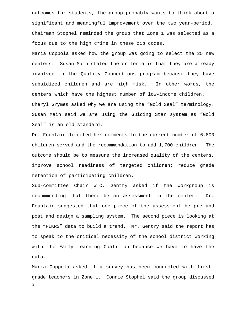outcomes for students, the group probably wants to think about a significant and meaningful improvement over the two year-period. Chairman Stophel reminded the group that Zone 1 was selected as a focus due to the high crime in these zip codes.

Maria Coppola asked how the group was going to select the 25 new centers. Susan Main stated the criteria is that they are already involved in the Quality Connections program because they have subsidized children and are high risk. In other words, the centers which have the highest number of low-income children. Cheryl Grymes asked why we are using the "Gold Seal" terminology. Susan Main said we are using the Guiding Star system as "Gold Seal" is an old standard.

Dr. Fountain directed her comments to the current number of 6,800 children served and the recommendation to add 1,700 children. The outcome should be to measure the increased quality of the centers, improve school readiness of targeted children; reduce grade retention of participating children.

Sub-committee Chair W.C. Gentry asked if the workgroup is recommending that there be an assessment in the center. Dr. Fountain suggested that one piece of the assessment be pre and post and design a sampling system. The second piece is looking at the "FLKRS" data to build a trend. Mr. Gentry said the report has to speak to the critical necessity of the school district working with the Early Learning Coalition because we have to have the data.

5 Maria Coppola asked if a survey has been conducted with firstgrade teachers in Zone 1. Connie Stophel said the group discussed